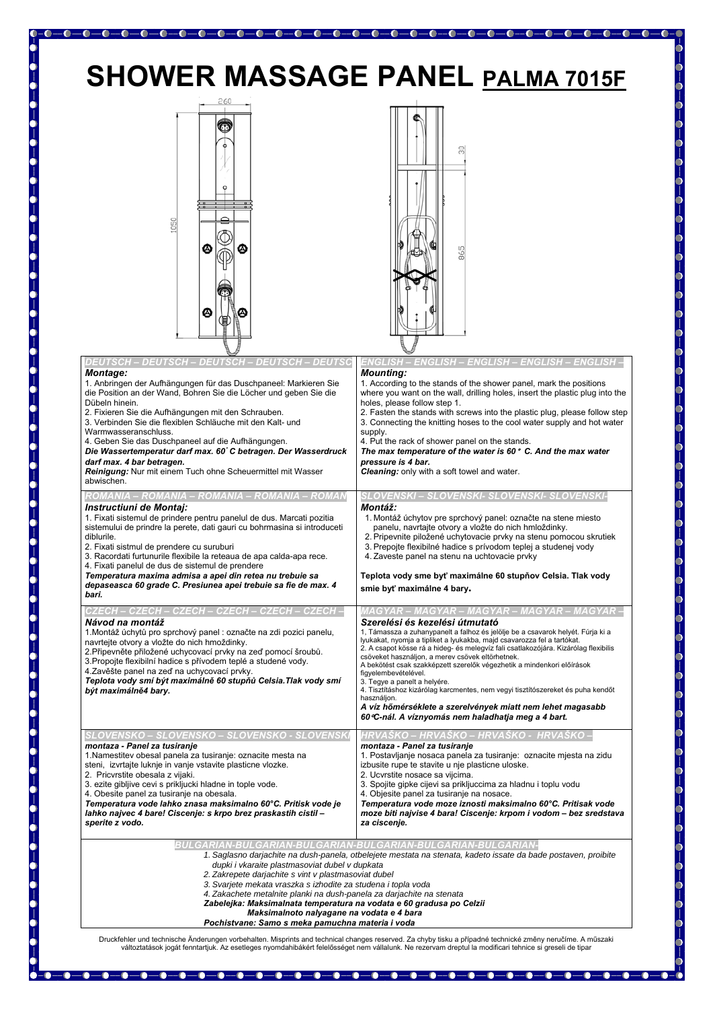## **SHOWER MASSAGE PANEL PALMA 7015F**





| DEUTSCH – DEUTSCH -<br><b>Montage:</b><br>1. Anbringen der Aufhängungen für das Duschpaneel: Markieren Sie<br>die Position an der Wand, Bohren Sie die Löcher und geben Sie die<br>Dübeln hinein.<br>2. Fixieren Sie die Aufhängungen mit den Schrauben.<br>3. Verbinden Sie die flexiblen Schläuche mit den Kalt- und<br>Warmwasseranschluss.<br>4. Geben Sie das Duschpaneel auf die Aufhängungen.<br>Die Wassertemperatur darf max. 60 C betragen. Der Wasserdruck<br>darf max. 4 bar betragen.<br>Reinigung: Nur mit einem Tuch ohne Scheuermittel mit Wasser<br>abwischen.<br>ROMANIA – ROMANIA – ROMANIA – ROMANIA – ROMAN<br>Instructiuni de Montaj:<br>1. Fixati sistemul de prindere pentru panelul de dus. Marcati pozitia<br>sistemului de prindre la perete, dati gauri cu bohrmasina si introduceti<br>diblurile.<br>2. Fixati sistmul de prendere cu suruburi<br>3. Racordati furtunurile flexibile la reteaua de apa calda-apa rece.<br>4. Fixati panelul de dus de sistemul de prendere | <u> ENGLISH – ENGLISH – ENGLISH – ENGLISH</u><br><b>Mounting:</b><br>1. According to the stands of the shower panel, mark the positions<br>where you want on the wall, drilling holes, insert the plastic plug into the<br>holes, please follow step 1.<br>2. Fasten the stands with screws into the plastic plug, please follow step<br>3. Connecting the knitting hoses to the cool water supply and hot water<br>supply.<br>4. Put the rack of shower panel on the stands.<br>The max temperature of the water is 60° C. And the max water<br>pressure is 4 bar.<br>Cleaning: only with a soft towel and water.<br>SLOVENSKI – SLOVENSKI- SLOVENSKI- SLOVENSKI-<br>Montáž:<br>1. Montáž úchytov pre sprchový panel: označte na stene miesto<br>panelu, navrtajte otvory a vložte do nich hmloždinky.<br>2. Pripevnite piložené uchytovacie prvky na stenu pomocou skrutiek<br>3. Prepojte flexibilné hadice s prívodom teplej a studenej vody<br>4. Zaveste panel na stenu na uchtovacie prvky |
|---------------------------------------------------------------------------------------------------------------------------------------------------------------------------------------------------------------------------------------------------------------------------------------------------------------------------------------------------------------------------------------------------------------------------------------------------------------------------------------------------------------------------------------------------------------------------------------------------------------------------------------------------------------------------------------------------------------------------------------------------------------------------------------------------------------------------------------------------------------------------------------------------------------------------------------------------------------------------------------------------------|---------------------------------------------------------------------------------------------------------------------------------------------------------------------------------------------------------------------------------------------------------------------------------------------------------------------------------------------------------------------------------------------------------------------------------------------------------------------------------------------------------------------------------------------------------------------------------------------------------------------------------------------------------------------------------------------------------------------------------------------------------------------------------------------------------------------------------------------------------------------------------------------------------------------------------------------------------------------------------------------------|
| Temperatura maxima admisa a apei din retea nu trebuie sa<br>depaseasca 60 grade C. Presiunea apei trebuie sa fie de max. 4<br>bari.                                                                                                                                                                                                                                                                                                                                                                                                                                                                                                                                                                                                                                                                                                                                                                                                                                                                     | Teplota vody sme byť maximálne 60 stupňov Celsia. Tlak vody<br>smie byť maximálne 4 bary.                                                                                                                                                                                                                                                                                                                                                                                                                                                                                                                                                                                                                                                                                                                                                                                                                                                                                                         |
| CZECH – CZECH – CZECH – CZECH -<br>Návod na montáž<br>1. Montáž úchytů pro sprchový panel : označte na zdi pozici panelu,<br>navrtejte otvory a vložte do nich hmoždinky.<br>2. Připevněte přiložené uchycovací prvky na zeď pomocí šroubů.<br>3. Propojte flexibilní hadice s přívodem teplé a studené vody.<br>4. Zavěšte panel na zeď na uchycovací prvky.<br>Teplota vody smí být maximálně 60 stupňů Celsia. Tlak vody smí<br>být maximálně4 bary.                                                                                                                                                                                                                                                                                                                                                                                                                                                                                                                                                 | GYAR – MAGYAR – MAGYAR – MAGYAR<br>Szerelési és kezelési útmutató<br>1, Támassza a zuhanypanelt a falhoz és jelölje be a csavarok helyét. Fúrja ki a<br>lyukakat, nyomja a tipliket a lyukakba, majd csavarozza fel a tartókat.<br>2. A csapot kösse rá a hideg- és melegvíz fali csatlakozójára. Kizárólag flexibilis<br>csöveket használjon, a merev csövek eltörhetnek.<br>A bekötést csak szakképzett szerelők végezhetik a mindenkori előírások<br>figyelembevételével.<br>3. Tegye a panelt a helyére.<br>4. Tisztításhoz kizárólag karcmentes, nem vegyi tisztítószereket és puha kendőt<br>használjon.<br>A víz hőmérséklete a szerelvények miatt nem lehet magasabb<br>60 °C-nál. A víznyomás nem haladhatja meg a 4 bart.                                                                                                                                                                                                                                                               |
| SLOVENSKO – SLOVENSKO – SLOVENSKO<br>montaza - Panel za tusiranje<br>1. Namestitev obesal panela za tusiranje: oznacite mesta na<br>steni, izvrtajte luknje in vanje vstavite plasticne vlozke.<br>2. Pricvrstite obesala z vijaki.<br>3. ezite gibljive cevi s prikljucki hladne in tople vode.<br>4. Obesite panel za tusiranje na obesala.<br>Temperatura vode lahko znasa maksimalno 60°C. Pritisk vode je<br>lahko najvec 4 bare! Ciscenje: s krpo brez praskastih cistil -<br>sperite z vodo.                                                                                                                                                                                                                                                                                                                                                                                                                                                                                                     | HRVASKO – HRVASKO – HRVASKO -<br>montaza - Panel za tusiranje<br>1. Postavljanje nosaca panela za tusiranje: oznacite mjesta na zidu<br>izbusite rupe te stavite u nje plasticne uloske.<br>2. Ucvrstite nosace sa vijcima.<br>3. Spojite gipke cijevi sa prikljuccima za hladnu i toplu vodu<br>4. Objesite panel za tusiranje na nosace.<br>Temperatura vode moze iznosti maksimalno 60°C. Pritisak vode<br>moze biti najvise 4 bara! Ciscenje: krpom i vodom - bez sredstava<br>za ciscenje.                                                                                                                                                                                                                                                                                                                                                                                                                                                                                                   |
| BULGARIAN-BULGARIAN-BULGARIAN-BULGARIAN-BULGARIAN-BULGARIAN-<br>1. Saglasno darjachite na dush-panela, otbelejete mestata na stenata, kadeto issate da bade postaven, proibite<br>dupki i vkaraite plastmasoviat dubel v dupkata<br>2. Zakrepete darjachite s vint v plastmasoviat dubel<br>3. Svarjete mekata vraszka s izhodite za studena i topla voda<br>4. Zakachete metalnite planki na dush-panela za darjachite na stenata<br>Zabelejka: Maksimalnata temperatura na vodata e 60 gradusa po Celzii<br>Maksimalnoto nalyagane na vodata e 4 bara                                                                                                                                                                                                                                                                                                                                                                                                                                                 |                                                                                                                                                                                                                                                                                                                                                                                                                                                                                                                                                                                                                                                                                                                                                                                                                                                                                                                                                                                                   |
| Pochistvane: Samo s meka pamuchna materia i voda                                                                                                                                                                                                                                                                                                                                                                                                                                                                                                                                                                                                                                                                                                                                                                                                                                                                                                                                                        |                                                                                                                                                                                                                                                                                                                                                                                                                                                                                                                                                                                                                                                                                                                                                                                                                                                                                                                                                                                                   |

Druckfehler und technische Änderungen vorbehalten. Misprints and technical changes reserved. Za chyby tisku a případné technické změny neručíme. A műszaki változtatások jogát fenntartjuk. Az esetleges nyomdahibákért felelősséget nem vállalunk. Ne rezervam dreptul la modificari tehnice si greseli de tipar

 $-\bullet$ 

-0

 $\begin{array}{c} \textcolor{red}{\bullet} \\ \textcolor{red}{\bullet} \\ \textcolor{red}{\bullet} \end{array}$ 

|<br>|-<br>|